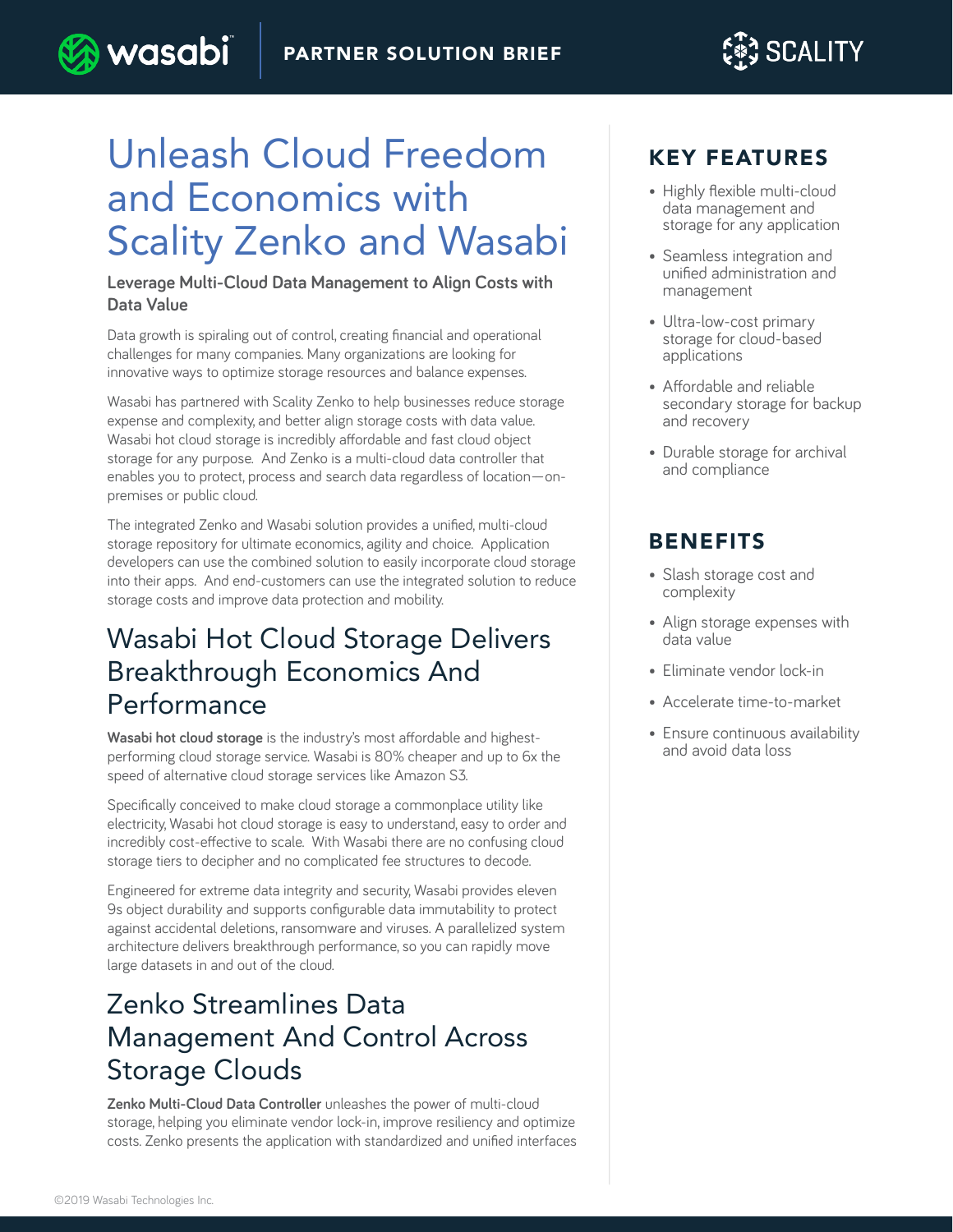

# Unleash Cloud Freedom and Economics with Scality Zenko and Wasabi

**wasabi** 

#### **Leverage Multi-Cloud Data Management to Align Costs with Data Value**

Data growth is spiraling out of control, creating financial and operational challenges for many companies. Many organizations are looking for innovative ways to optimize storage resources and balance expenses.

Wasabi has partnered with Scality Zenko to help businesses reduce storage expense and complexity, and better align storage costs with data value. Wasabi hot cloud storage is incredibly affordable and fast cloud object storage for any purpose. And Zenko is a multi-cloud data controller that enables you to protect, process and search data regardless of location—onpremises or public cloud.

The integrated Zenko and Wasabi solution provides a unified, multi-cloud storage repository for ultimate economics, agility and choice. Application developers can use the combined solution to easily incorporate cloud storage into their apps. And end-customers can use the integrated solution to reduce storage costs and improve data protection and mobility.

### Wasabi Hot Cloud Storage Delivers Breakthrough Economics And Performance

**Wasabi hot cloud storage** is the industry's most affordable and highestperforming cloud storage service. Wasabi is 80% cheaper and up to 6x the speed of alternative cloud storage services like Amazon S3.

Specifically conceived to make cloud storage a commonplace utility like electricity, Wasabi hot cloud storage is easy to understand, easy to order and incredibly cost-effective to scale. With Wasabi there are no confusing cloud storage tiers to decipher and no complicated fee structures to decode.

Engineered for extreme data integrity and security, Wasabi provides eleven 9s object durability and supports configurable data immutability to protect against accidental deletions, ransomware and viruses. A parallelized system architecture delivers breakthrough performance, so you can rapidly move large datasets in and out of the cloud.

# Zenko Streamlines Data Management And Control Across Storage Clouds

**Zenko Multi-Cloud Data Controller** unleashes the power of multi-cloud storage, helping you eliminate vendor lock-in, improve resiliency and optimize costs. Zenko presents the application with standardized and unified interfaces

#### KEY FEATURES

- Highly flexible multi-cloud data management and storage for any application
- Seamless integration and unified administration and management
- Ultra-low-cost primary storage for cloud-based applications
- Affordable and reliable secondary storage for backup and recovery
- Durable storage for archival and compliance

### BENEFITS

- Slash storage cost and complexity
- Align storage expenses with data value
- Eliminate vendor lock-in
- Accelerate time-to-market
- Ensure continuous availability and avoid data loss